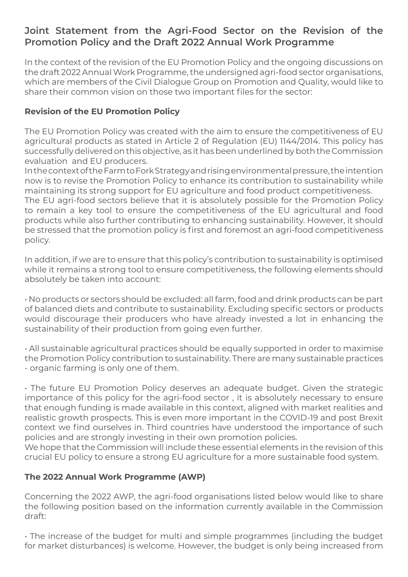## **Joint Statement from the Agri-Food Sector on the Revision of the Promotion Policy and the Draft 2022 Annual Work Programme**

In the context of the revision of the EU Promotion Policy and the ongoing discussions on the draft 2022 Annual Work Programme, the undersigned agri-food sector organisations, which are members of the Civil Dialogue Group on Promotion and Quality, would like to share their common vision on those two important files for the sector:

## **Revision of the EU Promotion Policy**

The EU Promotion Policy was created with the aim to ensure the competitiveness of EU agricultural products as stated in Article 2 of Regulation (EU) 1144/2014. This policy has successfully delivered on this objective, as it has been underlined by both the Commission evaluation and EU producers.

In the context of the Farm to Fork Strategy and rising environmental pressure, the intention now is to revise the Promotion Policy to enhance its contribution to sustainability while maintaining its strong support for EU agriculture and food product competitiveness. The EU agri-food sectors believe that it is absolutely possible for the Promotion Policy to remain a key tool to ensure the competitiveness of the EU agricultural and food products while also further contributing to enhancing sustainability. However, it should be stressed that the promotion policy is first and foremost an agri-food competitiveness policy.

In addition, if we are to ensure that this policy's contribution to sustainability is optimised while it remains a strong tool to ensure competitiveness, the following elements should absolutely be taken into account:

• No products or sectors should be excluded: all farm, food and drink products can be part of balanced diets and contribute to sustainability. Excluding specific sectors or products would discourage their producers who have already invested a lot in enhancing the sustainability of their production from going even further.

• All sustainable agricultural practices should be equally supported in order to maximise the Promotion Policy contribution to sustainability. There are many sustainable practices - organic farming is only one of them.

• The future EU Promotion Policy deserves an adequate budget. Given the strategic importance of this policy for the agri-food sector , it is absolutely necessary to ensure that enough funding is made available in this context, aligned with market realities and realistic growth prospects. This is even more important in the COVID-19 and post Brexit context we find ourselves in. Third countries have understood the importance of such policies and are strongly investing in their own promotion policies.

We hope that the Commission will include these essential elements in the revision of this crucial EU policy to ensure a strong EU agriculture for a more sustainable food system.

## **The 2022 Annual Work Programme (AWP)**

Concerning the 2022 AWP, the agri-food organisations listed below would like to share the following position based on the information currently available in the Commission draft:

• The increase of the budget for multi and simple programmes (including the budget for market disturbances) is welcome. However, the budget is only being increased from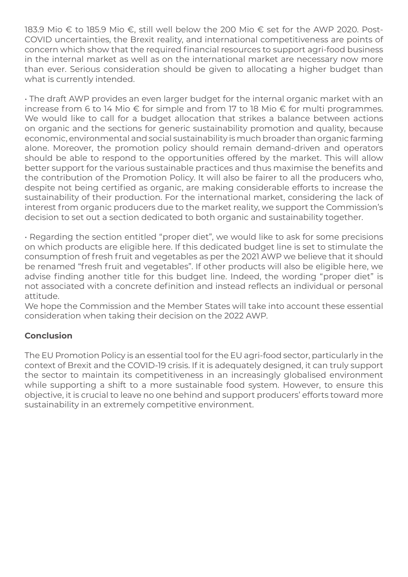183.9 Mio € to 185.9 Mio €, still well below the 200 Mio € set for the AWP 2020. Post-COVID uncertainties, the Brexit reality, and international competitiveness are points of concern which show that the required financial resources to support agri-food business in the internal market as well as on the international market are necessary now more than ever. Serious consideration should be given to allocating a higher budget than what is currently intended.

• The draft AWP provides an even larger budget for the internal organic market with an increase from 6 to 14 Mio € for simple and from 17 to 18 Mio € for multi programmes. We would like to call for a budget allocation that strikes a balance between actions on organic and the sections for generic sustainability promotion and quality, because economic, environmental and social sustainability is much broader than organic farming alone. Moreover, the promotion policy should remain demand-driven and operators should be able to respond to the opportunities offered by the market. This will allow better support for the various sustainable practices and thus maximise the benefits and the contribution of the Promotion Policy. It will also be fairer to all the producers who, despite not being certified as organic, are making considerable efforts to increase the sustainability of their production. For the international market, considering the lack of interest from organic producers due to the market reality, we support the Commission's decision to set out a section dedicated to both organic and sustainability together.

• Regarding the section entitled "proper diet", we would like to ask for some precisions on which products are eligible here. If this dedicated budget line is set to stimulate the consumption of fresh fruit and vegetables as per the 2021 AWP we believe that it should be renamed "fresh fruit and vegetables". If other products will also be eligible here, we advise finding another title for this budget line. Indeed, the wording "proper diet" is not associated with a concrete definition and instead reflects an individual or personal attitude.

We hope the Commission and the Member States will take into account these essential consideration when taking their decision on the 2022 AWP.

## **Conclusion**

The EU Promotion Policy is an essential tool for the EU agri-food sector, particularly in the context of Brexit and the COVID-19 crisis. If it is adequately designed, it can truly support the sector to maintain its competitiveness in an increasingly globalised environment while supporting a shift to a more sustainable food system. However, to ensure this objective, it is crucial to leave no one behind and support producers' efforts toward more sustainability in an extremely competitive environment.